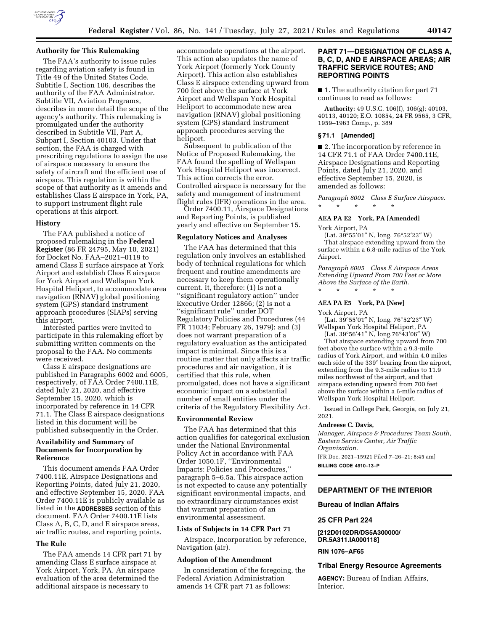

The FAA's authority to issue rules regarding aviation safety is found in Title 49 of the United States Code. Subtitle I, Section 106, describes the authority of the FAA Administrator. Subtitle VII, Aviation Programs, describes in more detail the scope of the agency's authority. This rulemaking is promulgated under the authority described in Subtitle VII, Part A, Subpart I, Section 40103. Under that section, the FAA is charged with prescribing regulations to assign the use of airspace necessary to ensure the safety of aircraft and the efficient use of airspace. This regulation is within the scope of that authority as it amends and establishes Class E airspace in York, PA, to support instrument flight rule operations at this airport.

# **History**

The FAA published a notice of proposed rulemaking in the **Federal Register** (86 FR 24795, May 10, 2021) for Docket No. FAA–2021–0119 to amend Class E surface airspace at York Airport and establish Class E airspace for York Airport and Wellspan York Hospital Heliport, to accommodate area navigation (RNAV) global positioning system (GPS) standard instrument approach procedures (SIAPs) serving this airport.

Interested parties were invited to participate in this rulemaking effort by submitting written comments on the proposal to the FAA. No comments were received.

Class E airspace designations are published in Paragraphs 6002 and 6005, respectively, of FAA Order 7400.11E, dated July 21, 2020, and effective September 15, 2020, which is incorporated by reference in 14 CFR 71.1. The Class E airspace designations listed in this document will be published subsequently in the Order.

# **Availability and Summary of Documents for Incorporation by Reference**

This document amends FAA Order 7400.11E, Airspace Designations and Reporting Points, dated July 21, 2020, and effective September 15, 2020. FAA Order 7400.11E is publicly available as listed in the **ADDRESSES** section of this document. FAA Order 7400.11E lists Class A, B, C, D, and E airspace areas, air traffic routes, and reporting points.

#### **The Rule**

The FAA amends 14 CFR part 71 by amending Class E surface airspace at York Airport, York, PA. An airspace evaluation of the area determined the additional airspace is necessary to

accommodate operations at the airport. This action also updates the name of York Airport (formerly York County Airport). This action also establishes Class E airspace extending upward from 700 feet above the surface at York Airport and Wellspan York Hospital Heliport to accommodate new area navigation (RNAV) global positioning system (GPS) standard instrument approach procedures serving the heliport.

Subsequent to publication of the Notice of Proposed Rulemaking, the FAA found the spelling of Wellspan York Hospital Heliport was incorrect. This action corrects the error. Controlled airspace is necessary for the safety and management of instrument flight rules (IFR) operations in the area.

Order 7400.11, Airspace Designations and Reporting Points, is published yearly and effective on September 15.

#### **Regulatory Notices and Analyses**

The FAA has determined that this regulation only involves an established body of technical regulations for which frequent and routine amendments are necessary to keep them operationally current. It, therefore: (1) Is not a ''significant regulatory action'' under Executive Order 12866; (2) is not a ''significant rule'' under DOT Regulatory Policies and Procedures (44 FR 11034; February 26, 1979); and (3) does not warrant preparation of a regulatory evaluation as the anticipated impact is minimal. Since this is a routine matter that only affects air traffic procedures and air navigation, it is certified that this rule, when promulgated, does not have a significant economic impact on a substantial number of small entities under the criteria of the Regulatory Flexibility Act.

#### **Environmental Review**

The FAA has determined that this action qualifies for categorical exclusion under the National Environmental Policy Act in accordance with FAA Order 1050.1F, ''Environmental Impacts: Policies and Procedures,'' paragraph 5–6.5a. This airspace action is not expected to cause any potentially significant environmental impacts, and no extraordinary circumstances exist that warrant preparation of an environmental assessment.

#### **Lists of Subjects in 14 CFR Part 71**

Airspace, Incorporation by reference, Navigation (air).

# **Adoption of the Amendment**

In consideration of the foregoing, the Federal Aviation Administration amends 14 CFR part 71 as follows:

# **PART 71—DESIGNATION OF CLASS A, B, C, D, AND E AIRSPACE AREAS; AIR TRAFFIC SERVICE ROUTES; AND REPORTING POINTS**

■ 1. The authority citation for part 71 continues to read as follows:

**Authority:** 49 U.S.C. 106(f), 106(g); 40103, 40113, 40120; E.O. 10854, 24 FR 9565, 3 CFR, 1959–1963 Comp., p. 389

#### **§ 71.1 [Amended]**

■ 2. The incorporation by reference in 14 CFR 71.1 of FAA Order 7400.11E, Airspace Designations and Reporting Points, dated July 21, 2020, and effective September 15, 2020, is amended as follows:

*Paragraph 6002 Class E Surface Airspace.*  \* \* \* \* \*

# **AEA PA E2 York, PA [Amended]**

York Airport, PA

(Lat.  $39^{\circ}55'01''$  N, long.  $76^{\circ}52'23''$  W) That airspace extending upward from the surface within a 6.8-mile radius of the York Airport.

*Paragraph 6005 Class E Airspace Areas Extending Upward From 700 Feet or More Above the Surface of the Earth.*  \* \* \* \* \*

#### **AEA PA E5 York, PA [New]**

York Airport, PA

(Lat. 39°55′01″ N, long. 76°52′23″ W) Wellspan York Hospital Heliport, PA

(Lat. 39°56′41″ N, long.76°43′06″ W) That airspace extending upward from 700 feet above the surface within a 9.3-mile radius of York Airport, and within 4.0 miles each side of the 339° bearing from the airport, extending from the 9.3-mile radius to 11.9 miles northwest of the airport, and that airspace extending upward from 700 feet above the surface within a 6-mile radius of Wellspan York Hospital Heliport.

Issued in College Park, Georgia, on July 21, 2021.

#### **Andreese C. Davis,**

*Manager, Airspace & Procedures Team South, Eastern Service Center, Air Traffic Organization.* 

[FR Doc. 2021–15921 Filed 7–26–21; 8:45 am]

**BILLING CODE 4910–13–P** 

# **DEPARTMENT OF THE INTERIOR**

**Bureau of Indian Affairs** 

#### **25 CFR Part 224**

**[212D0102DR/DS5A300000/ DR.5A311.IA000118]** 

**RIN 1076–AF65** 

#### **Tribal Energy Resource Agreements**

**AGENCY:** Bureau of Indian Affairs, Interior.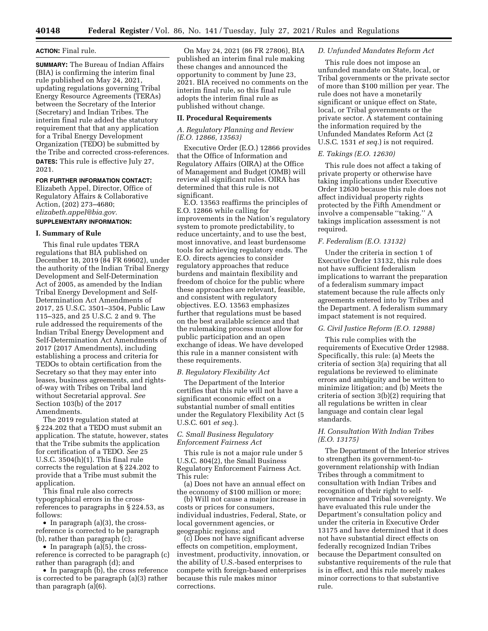#### **ACTION:** Final rule.

**SUMMARY:** The Bureau of Indian Affairs (BIA) is confirming the interim final rule published on May 24, 2021, updating regulations governing Tribal Energy Resource Agreements (TERAs) between the Secretary of the Interior (Secretary) and Indian Tribes. The interim final rule added the statutory requirement that that any application for a Tribal Energy Development Organization (TEDO) be submitted by the Tribe and corrected cross-references. **DATES:** This rule is effective July 27, 2021.

# **FOR FURTHER INFORMATION CONTACT:**

Elizabeth Appel, Director, Office of Regulatory Affairs & Collaborative Action, (202) 273–4680; *[elizabeth.appel@bia.gov.](mailto:elizabeth.appel@bia.gov)* 

# **SUPPLEMENTARY INFORMATION:**

#### **I. Summary of Rule**

This final rule updates TERA regulations that BIA published on December 18, 2019 (84 FR 69602), under the authority of the Indian Tribal Energy Development and Self-Determination Act of 2005, as amended by the Indian Tribal Energy Development and Self-Determination Act Amendments of 2017, 25 U.S.C. 3501–3504, Public Law 115–325, and 25 U.S.C. 2 and 9. The rule addressed the requirements of the Indian Tribal Energy Development and Self-Determination Act Amendments of 2017 (2017 Amendments), including establishing a process and criteria for TEDOs to obtain certification from the Secretary so that they may enter into leases, business agreements, and rightsof-way with Tribes on Tribal land without Secretarial approval. *See*  Section 103(b) of the 2017 Amendments.

The 2019 regulation stated at § 224.202 that a TEDO must submit an application. The statute, however, states that the Tribe submits the application for certification of a TEDO. *See* 25 U.S.C. 3504(h)(1). This final rule corrects the regulation at § 224.202 to provide that a Tribe must submit the application.

This final rule also corrects typographical errors in the crossreferences to paragraphs in § 224.53, as follows:

• In paragraph (a)(3), the crossreference is corrected to be paragraph (b), rather than paragraph (c);

• In paragraph  $(a)(5)$ , the crossreference is corrected to be paragraph (c) rather than paragraph (d); and

• In paragraph (b), the cross reference is corrected to be paragraph (a)(3) rather than paragraph (a)(6).

On May 24, 2021 (86 FR 27806), BIA published an interim final rule making these changes and announced the opportunity to comment by June 23, 2021. BIA received no comments on the interim final rule, so this final rule adopts the interim final rule as published without change.

#### **II. Procedural Requirements**

#### *A. Regulatory Planning and Review (E.O. 12866, 13563)*

Executive Order (E.O.) 12866 provides that the Office of Information and Regulatory Affairs (OIRA) at the Office of Management and Budget (OMB) will review all significant rules. OIRA has determined that this rule is not significant.

E.O. 13563 reaffirms the principles of E.O. 12866 while calling for improvements in the Nation's regulatory system to promote predictability, to reduce uncertainty, and to use the best, most innovative, and least burdensome tools for achieving regulatory ends. The E.O. directs agencies to consider regulatory approaches that reduce burdens and maintain flexibility and freedom of choice for the public where these approaches are relevant, feasible, and consistent with regulatory objectives. E.O. 13563 emphasizes further that regulations must be based on the best available science and that the rulemaking process must allow for public participation and an open exchange of ideas. We have developed this rule in a manner consistent with these requirements.

#### *B. Regulatory Flexibility Act*

The Department of the Interior certifies that this rule will not have a significant economic effect on a substantial number of small entities under the Regulatory Flexibility Act (5 U.S.C. 601 *et seq.*).

# *C. Small Business Regulatory Enforcement Fairness Act*

This rule is not a major rule under 5 U.S.C. 804(2), the Small Business Regulatory Enforcement Fairness Act. This rule:

(a) Does not have an annual effect on the economy of \$100 million or more;

(b) Will not cause a major increase in costs or prices for consumers, individual industries, Federal, State, or local government agencies, or geographic regions; and

(c) Does not have significant adverse effects on competition, employment, investment, productivity, innovation, or the ability of U.S.-based enterprises to compete with foreign-based enterprises because this rule makes minor corrections.

# *D. Unfunded Mandates Reform Act*

This rule does not impose an unfunded mandate on State, local, or Tribal governments or the private sector of more than \$100 million per year. The rule does not have a monetarily significant or unique effect on State, local, or Tribal governments or the private sector. A statement containing the information required by the Unfunded Mandates Reform Act (2 U.S.C. 1531 *et seq.*) is not required.

# *E. Takings (E.O. 12630)*

This rule does not affect a taking of private property or otherwise have taking implications under Executive Order 12630 because this rule does not affect individual property rights protected by the Fifth Amendment or involve a compensable ''taking.'' A takings implication assessment is not required.

#### *F. Federalism (E.O. 13132)*

Under the criteria in section 1 of Executive Order 13132, this rule does not have sufficient federalism implications to warrant the preparation of a federalism summary impact statement because the rule affects only agreements entered into by Tribes and the Department. A federalism summary impact statement is not required.

# *G. Civil Justice Reform (E.O. 12988)*

This rule complies with the requirements of Executive Order 12988. Specifically, this rule: (a) Meets the criteria of section 3(a) requiring that all regulations be reviewed to eliminate errors and ambiguity and be written to minimize litigation; and (b) Meets the criteria of section 3(b)(2) requiring that all regulations be written in clear language and contain clear legal standards.

# *H. Consultation With Indian Tribes (E.O. 13175)*

The Department of the Interior strives to strengthen its government-togovernment relationship with Indian Tribes through a commitment to consultation with Indian Tribes and recognition of their right to selfgovernance and Tribal sovereignty. We have evaluated this rule under the Department's consultation policy and under the criteria in Executive Order 13175 and have determined that it does not have substantial direct effects on federally recognized Indian Tribes because the Department consulted on substantive requirements of the rule that is in effect, and this rule merely makes minor corrections to that substantive rule.